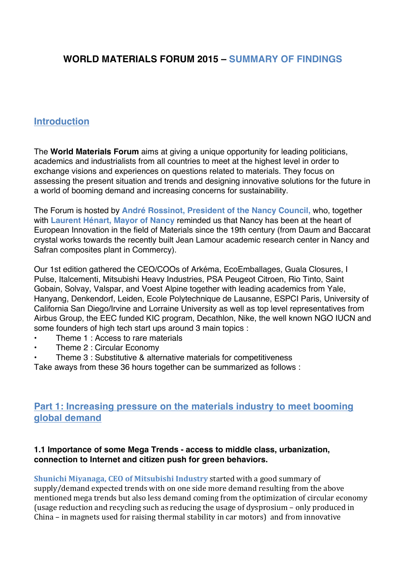# **WORLD MATERIALS FORUM 2015 – SUMMARY OF FINDINGS**

## **Introduction**

The **World Materials Forum** aims at giving a unique opportunity for leading politicians, academics and industrialists from all countries to meet at the highest level in order to exchange visions and experiences on questions related to materials. They focus on assessing the present situation and trends and designing innovative solutions for the future in a world of booming demand and increasing concerns for sustainability.

The Forum is hosted by **André Rossinot, President of the Nancy Council,** who, together with **Laurent Hénart, Mayor of Nancy** reminded us that Nancy has been at the heart of European Innovation in the field of Materials since the 19th century (from Daum and Baccarat crystal works towards the recently built Jean Lamour academic research center in Nancy and Safran composites plant in Commercy).

Our 1st edition gathered the CEO/COOs of Arkéma, EcoEmballages, Guala Closures, I Pulse, Italcementi, Mitsubishi Heavy Industries, PSA Peugeot Citroen, Rio Tinto, Saint Gobain, Solvay, Valspar, and Voest Alpine together with leading academics from Yale, Hanyang, Denkendorf, Leiden, Ecole Polytechnique de Lausanne, ESPCI Paris, University of California San Diego/Irvine and Lorraine University as well as top level representatives from Airbus Group, the EEC funded KIC program, Decathlon, Nike, the well known NGO IUCN and some founders of high tech start ups around 3 main topics :

- Theme 1 : Access to rare materials
- Theme 2 : Circular Economy
- Theme 3 : Substitutive & alternative materials for competitiveness

Take aways from these 36 hours together can be summarized as follows :

## **Part 1: Increasing pressure on the materials industry to meet booming global demand**

#### **1.1 Importance of some Mega Trends - access to middle class, urbanization, connection to Internet and citizen push for green behaviors.**

**Shunichi Miyanaga, CEO of Mitsubishi Industry started with a good summary of** supply/demand expected trends with on one side more demand resulting from the above mentioned mega trends but also less demand coming from the optimization of circular economy (usage reduction and recycling such as reducing the usage of dysprosium  $-$  only produced in China – in magnets used for raising thermal stability in car motors) and from innovative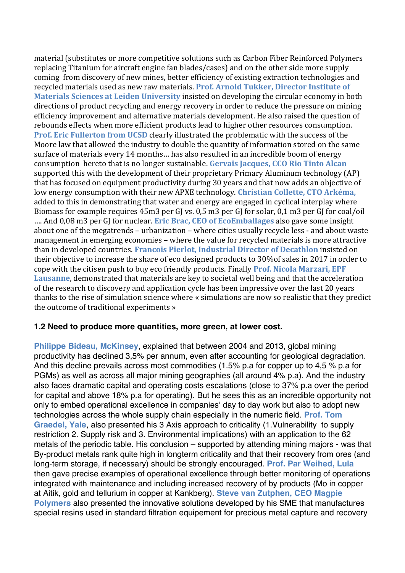material (substitutes or more competitive solutions such as Carbon Fiber Reinforced Polymers replacing Titanium for aircraft engine fan blades/cases) and on the other side more supply coming from discovery of new mines, better efficiency of existing extraction technologies and recycled materials used as new raw materials. **Prof. Arnold Tukker, Director Institute of Materials Sciences at Leiden University** insisted on developing the circular economy in both directions of product recycling and energy recovery in order to reduce the pressure on mining efficiency improvement and alternative materials development. He also raised the question of rebounds effects when more efficient products lead to higher other resources consumption. **Prof.** Eric Fullerton from UCSD clearly illustrated the problematic with the success of the Moore law that allowed the industry to double the quantity of information stored on the same surface of materials every 14 months... has also resulted in an incredible boom of energy consumption hereto that is no longer sustainable. Gervais Jacques, CCO Rio Tinto Alcan supported this with the development of their proprietary Primary Aluminum technology (AP) that has focused on equipment productivity during 30 years and that now adds an objective of low energy consumption with their new APXE technology. **Christian Collette, CTO Arkéma**, added to this in demonstrating that water and energy are engaged in cyclical interplay where Biomass for example requires 45m3 per GJ vs. 0,5 m3 per GJ for solar, 0,1 m3 per GJ for coal/oil .... And 0.08 m3 per GI for nuclear. **Eric Brac, CEO of EcoEmballages** also gave some insight about one of the megatrends – urbanization – where cities usually recycle less - and about waste management in emerging economies – where the value for recycled materials is more attractive than in developed countries. **Francois Pierlot, Industrial Director of Decathlon** insisted on their objective to increase the share of eco designed products to 30% of sales in 2017 in order to cope with the citisen push to buy eco friendly products. Finally **Prof. Nicola Marzari, EPF Lausanne**, demonstrated that materials are key to societal well being and that the acceleration of the research to discovery and application cycle has been impressive over the last 20 years thanks to the rise of simulation science where « simulations are now so realistic that they predict the outcome of traditional experiments »

#### **1.2 Need to produce more quantities, more green, at lower cost.**

**Philippe Bideau, McKinsey**, explained that between 2004 and 2013, global mining productivity has declined 3,5% per annum, even after accounting for geological degradation. And this decline prevails across most commodities (1.5% p.a for copper up to 4,5 % p.a for PGMs) as well as across all major mining geographies (all around 4% p.a). And the industry also faces dramatic capital and operating costs escalations (close to 37% p.a over the period for capital and above 18% p.a for operating). But he sees this as an incredible opportunity not only to embed operational excellence in companies' day to day work but also to adopt new technologies across the whole supply chain especially in the numeric field. **Prof. Tom Graedel, Yale**, also presented his 3 Axis approach to criticality (1.Vulnerability to supply restriction 2. Supply risk and 3. Environmental implications) with an application to the 62 metals of the periodic table. His conclusion – supported by attending mining majors - was that By-product metals rank quite high in longterm criticality and that their recovery from ores (and long-term storage, if necessary) should be strongly encouraged. **Prof. Par Weihed, Lula** then gave precise examples of operational excellence through better monitoring of operations integrated with maintenance and including increased recovery of by products (Mo in copper at Aitik, gold and tellurium in copper at Kankberg). **Steve van Zutphen, CEO Magpie Polymers** also presented the innovative solutions developed by his SME that manufactures special resins used in standard filtration equipement for precious metal capture and recovery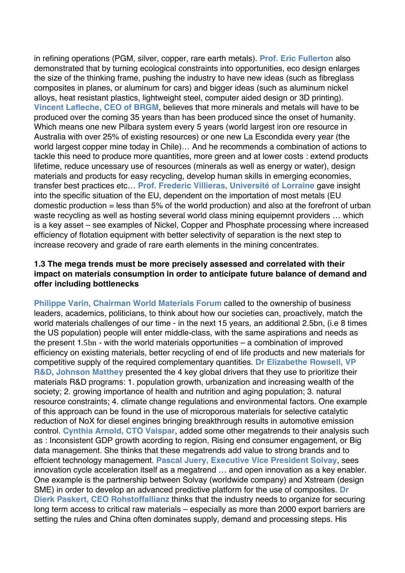in refining operations (PGM, silver, copper, rare earth metals). **Prof. Eric Fullerton** also demonstrated that by turning ecological constraints into opportunities, eco design enlarges the size of the thinking frame, pushing the industry to have new ideas (such as fibreglass composites in planes, or aluminum for cars) and bigger ideas (such as aluminum nickel alloys, heat resistant plastics, lightweight steel, computer aided design or 3D printing). **Vincent Lafleche, CEO of BRGM**, believes that more minerals and metals will have to be produced over the coming 35 years than has been produced since the onset of humanity. Which means one new Pilbara system every 5 years (world largest iron ore resource in Australia with over 25% of existing resources) or one new La Escondida every year (the world largest copper mine today in Chile)… And he recommends a combination of actions to tackle this need to produce more quantities, more green and at lower costs : extend products lifetime, reduce uncessary use of resources (minerals as well as energy or water), design materials and products for easy recycling, develop human skills in emerging economies, transfer best practices etc… **Prof. Frederic Villieras, Université of Lorraine** gave insight into the specific situation of the EU, dependent on the importation of most metals (EU domestic production = less than 5% of the world production) and also at the forefront of urban waste recycling as well as hosting several world class mining equipemnt providers … which is a key asset – see examples of Nickel, Copper and Phosphate processing where increased efficiency of flotation equipment with better selectivity of separation is the next step to increase recovery and grade of rare earth elements in the mining concentrates.

#### **1.3 The mega trends must be more precisely assessed and correlated with their impact on materials consumption in order to anticipate future balance of demand and offer including bottlenecks**

**Philippe Varin, Chairman World Materials Forum** called to the ownership of business leaders, academics, politicians, to think about how our societies can, proactively, match the world materials challenges of our time - in the next 15 years, an additional 2.5bn, (i.e 8 times the US population) people will enter middle-class, with the same aspirations and needs as the present 1.5bn - with the world materials opportunities – a combination of improved efficiency on existing materials, better recycling of end of life products and new materials for competitive supply of the required complementary quantities. **Dr Elizabethe Rowsell, VP R&D, Johnson Matthey** presented the 4 key global drivers that they use to prioritize their materials R&D programs: 1. population growth, urbanization and increasing wealth of the society; 2. growing importance of health and nutrition and aging population; 3. natural resource constraints; 4. climate change regulations and environmental factors. One example of this approach can be found in the use of microporous materials for selective catalytic reduction of NoX for diesel engines bringing breakthrough results in automotive emission control. **Cynthia Arnold, CTO Valspar**, added some other megatrends to their analysis such as : Inconsistent GDP growth acording to region, Rising end consumer engagement, or Big data management. She thinks that these megatrends add value to strong brands and to effcient technology management. **Pascal Juery, Executive Vice President Solvay**, sees innovation cycle acceleration itself as a megatrend … and open innovation as a key enabler. One example is the partnership between Solvay (worldwide company) and Xstream (design SME) in order to develop an advanced predictive platform for the use of composites. **Dr Dierk Paskert, CEO Rohstoffallianz** thinks that the industry needs to organize for securing long term access to critical raw materials – especially as more than 2000 export barriers are setting the rules and China often dominates supply, demand and processing steps. His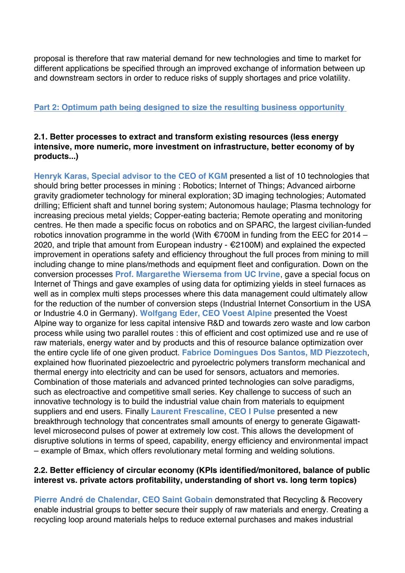proposal is therefore that raw material demand for new technologies and time to market for different applications be specified through an improved exchange of information between up and downstream sectors in order to reduce risks of supply shortages and price volatility.

### **Part 2: Optimum path being designed to size the resulting business opportunity**

#### **2.1. Better processes to extract and transform existing resources (less energy intensive, more numeric, more investment on infrastructure, better economy of by products...)**

**Henryk Karas, Special advisor to the CEO of KGM** presented a list of 10 technologies that should bring better processes in mining : Robotics; Internet of Things; Advanced airborne gravity gradiometer technology for mineral exploration; 3D imaging technologies; Automated drilling; Efficient shaft and tunnel boring system; Autonomous haulage; Plasma technology for increasing precious metal yields; Copper-eating bacteria; Remote operating and monitoring centres. He then made a specific focus on robotics and on SPARC, the largest civilian-funded robotics innovation programme in the world (With €700M in funding from the EEC for 2014 – 2020, and triple that amount from European industry - €2100M) and explained the expected improvement in operations safety and efficiency throughout the full proces from mining to mill including change to mine plans/methods and equipment fleet and configuration. Down on the conversion processes **Prof. Margarethe Wiersema from UC Irvine**, gave a special focus on Internet of Things and gave examples of using data for optimizing yields in steel furnaces as well as in complex multi steps processes where this data management could ultimately allow for the reduction of the number of conversion steps (Industrial Internet Consortium in the USA or Industrie 4.0 in Germany). **Wolfgang Eder, CEO Voest Alpine** presented the Voest Alpine way to organize for less capital intensive R&D and towards zero waste and low carbon process while using two parallel routes : this of efficient and cost optimized use and re use of raw materials, energy water and by products and this of resource balance optimization over the entire cycle life of one given product. **Fabrice Domingues Dos Santos, MD Piezzotech**, explained how fluorinated piezoelectric and pyroelectric polymers transform mechanical and thermal energy into electricity and can be used for sensors, actuators and memories. Combination of those materials and advanced printed technologies can solve paradigms, such as electroactive and competitive small series. Key challenge to success of such an innovative technology is to build the industrial value chain from materials to equipment suppliers and end users. Finally **Laurent Frescaline, CEO I Pulse** presented a new breakthrough technology that concentrates small amounts of energy to generate Gigawattlevel microsecond pulses of power at extremely low cost. This allows the development of disruptive solutions in terms of speed, capability, energy efficiency and environmental impact – example of Bmax, which offers revolutionary metal forming and welding solutions.

#### **2.2. Better efficiency of circular economy (KPIs identified/monitored, balance of public interest vs. private actors profitability, understanding of short vs. long term topics)**

**Pierre André de Chalendar, CEO Saint Gobain** demonstrated that Recycling & Recovery enable industrial groups to better secure their supply of raw materials and energy. Creating a recycling loop around materials helps to reduce external purchases and makes industrial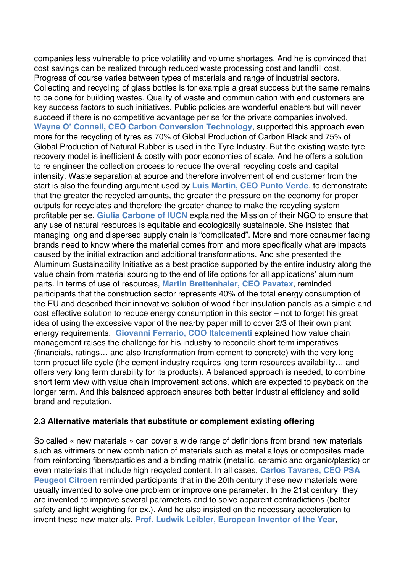companies less vulnerable to price volatility and volume shortages. And he is convinced that cost savings can be realized through reduced waste processing cost and landfill cost, Progress of course varies between types of materials and range of industrial sectors. Collecting and recycling of glass bottles is for example a great success but the same remains to be done for building wastes. Quality of waste and communication with end customers are key success factors to such initiatives. Public policies are wonderful enablers but will never succeed if there is no competitive advantage per se for the private companies involved. **Wayne O' Connell, CEO Carbon Conversion Technology**, supported this approach even more for the recycling of tyres as 70% of Global Production of Carbon Black and 75% of Global Production of Natural Rubber is used in the Tyre Industry. But the existing waste tyre recovery model is inefficient & costly with poor economies of scale. And he offers a solution to re engineer the collection process to reduce the overall recycling costs and capital intensity. Waste separation at source and therefore involvement of end customer from the start is also the founding argument used by **Luis Martin, CEO Punto Verde**, to demonstrate that the greater the recycled amounts, the greater the pressure on the economy for proper outputs for recyclates and therefore the greater chance to make the recycling system profitable per se. **Giulia Carbone of IUCN** explained the Mission of their NGO to ensure that any use of natural resources is equitable and ecologically sustainable. She insisted that managing long and dispersed supply chain is "complicated". More and more consumer facing brands need to know where the material comes from and more specifically what are impacts caused by the initial extraction and additional transformations. And she presented the Aluminum Sustainability Initiative as a best practice supported by the entire industry along the value chain from material sourcing to the end of life options for all applications' aluminum parts. In terms of use of resources, **Martin Brettenhaler, CEO Pavatex**, reminded participants that the construction sector represents 40% of the total energy consumption of the EU and described their innovative solution of wood fiber insulation panels as a simple and cost effective solution to reduce energy consumption in this sector – not to forget his great idea of using the excessive vapor of the nearby paper mill to cover 2/3 of their own plant energy requirements. **Giovanni Ferrario, COO Italcementi** explained how value chain management raises the challenge for his industry to reconcile short term imperatives (financials, ratings… and also transformation from cement to concrete) with the very long term product life cycle (the cement industry requires long term resources availability… and offers very long term durability for its products). A balanced approach is needed, to combine short term view with value chain improvement actions, which are expected to payback on the longer term. And this balanced approach ensures both better industrial efficiency and solid brand and reputation.

## **2.3 Alternative materials that substitute or complement existing offering**

So called « new materials » can cover a wide range of definitions from brand new materials such as vitrimers or new combination of materials such as metal alloys or composites made from reinforcing fibers/particles and a binding matrix (metallic, ceramic and organic/plastic) or even materials that include high recycled content. In all cases, **Carlos Tavares, CEO PSA Peugeot Citroen** reminded participants that in the 20th century these new materials were usually invented to solve one problem or improve one parameter. In the 21st century they are invented to improve several parameters and to solve apparent contradictions (better safety and light weighting for ex.). And he also insisted on the necessary acceleration to invent these new materials. **Prof. Ludwik Leibler, European Inventor of the Year**,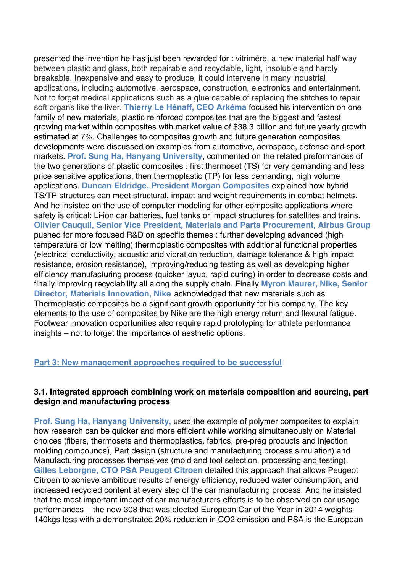presented the invention he has just been rewarded for : vitrimère, a new material half way between plastic and glass, both repairable and recyclable, light, insoluble and hardly breakable. Inexpensive and easy to produce, it could intervene in many industrial applications, including automotive, aerospace, construction, electronics and entertainment. Not to forget medical applications such as a glue capable of replacing the stitches to repair soft organs like the liver. **Thierry Le Hénaff, CEO Arkéma** focused his intervention on one family of new materials, plastic reinforced composites that are the biggest and fastest growing market within composites with market value of \$38.3 billion and future yearly growth estimated at 7%. Challenges to composites growth and future generation composites developments were discussed on examples from automotive, aerospace, defense and sport markets. **Prof. Sung Ha, Hanyang University**, commented on the related preformances of the two generations of plastic composites : first thermoset (TS) for very demanding and less price sensitive applications, then thermoplastic (TP) for less demanding, high volume applications. **Duncan Eldridge, President Morgan Composites** explained how hybrid TS/TP structures can meet structural, impact and weight requirements in combat helmets. And he insisted on the use of computer modeling for other composite applications where safety is critical: Li-ion car batteries, fuel tanks or impact structures for satellites and trains. **Olivier Cauquil, Senior Vice President, Materials and Parts Procurement, Airbus Group**  pushed for more focused R&D on specific themes : further developing advanced (high temperature or low melting) thermoplastic composites with additional functional properties (electrical conductivity, acoustic and vibration reduction, damage tolerance & high impact resistance, erosion resistance), improving/reducing testing as well as developing higher efficiency manufacturing process (quicker layup, rapid curing) in order to decrease costs and finally improving recyclability all along the supply chain. Finally **Myron Maurer, Nike, Senior Director, Materials Innovation, Nike** acknowledged that new materials such as Thermoplastic composites be a significant growth opportunity for his company. The key elements to the use of composites by Nike are the high energy return and flexural fatigue. Footwear innovation opportunities also require rapid prototyping for athlete performance insights – not to forget the importance of aesthetic options.

#### **Part 3: New management approaches required to be successful**

#### **3.1. Integrated approach combining work on materials composition and sourcing, part design and manufacturing process**

**Prof. Sung Ha, Hanyang University,** used the example of polymer composites to explain how research can be quicker and more efficient while working simultaneously on Material choices (fibers, thermosets and thermoplastics, fabrics, pre-preg products and injection molding compounds), Part design (structure and manufacturing process simulation) and Manufacturing processes themselves (mold and tool selection, processing and testing). **Gilles Leborgne, CTO PSA Peugeot Citroen** detailed this approach that allows Peugeot Citroen to achieve ambitious results of energy efficiency, reduced water consumption, and increased recycled content at every step of the car manufacturing process. And he insisted that the most important impact of car manufacturers efforts is to be observed on car usage performances – the new 308 that was elected European Car of the Year in 2014 weights 140kgs less with a demonstrated 20% reduction in CO2 emission and PSA is the European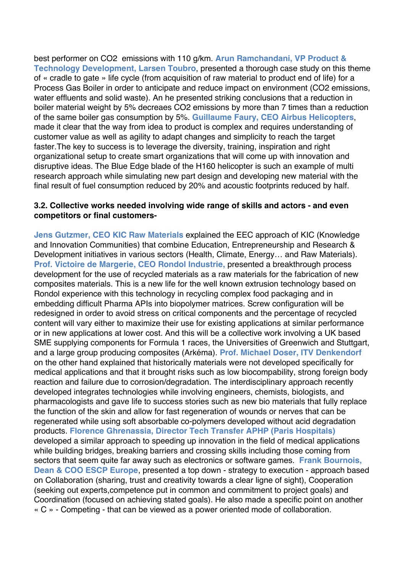best performer on CO2 emissions with 110 g/km. **Arun Ramchandani, VP Product & Technology Development, Larsen Toubro**, presented a thorough case study on this theme of « cradle to gate » life cycle (from acquisition of raw material to product end of life) for a Process Gas Boiler in order to anticipate and reduce impact on environment (CO2 emissions, water effluents and solid waste). An he presented striking conclusions that a reduction in boiler material weight by 5% decreaes CO2 emissions by more than 7 times than a reduction of the same boiler gas consumption by 5%. **Guillaume Faury, CEO Airbus Helicopters**, made it clear that the way from idea to product is complex and requires understanding of customer value as well as agility to adapt changes and simplicity to reach the target faster.The key to success is to leverage the diversity, training, inspiration and right organizational setup to create smart organizations that will come up with innovation and disruptive ideas. The Blue Edge blade of the H160 helicopter is such an example of multi research approach while simulating new part design and developing new material with the final result of fuel consumption reduced by 20% and acoustic footprints reduced by half.

#### **3.2. Collective works needed involving wide range of skills and actors - and even competitors or final customers-**

**Jens Gutzmer, CEO KIC Raw Materials** explained the EEC approach of KIC (Knowledge and Innovation Communities) that combine Education, Entrepreneurship and Research & Development initiatives in various sectors (Health, Climate, Energy… and Raw Materials). **Prof. Victoire de Margerie, CEO Rondol Industrie,** presented a breakthrough process development for the use of recycled materials as a raw materials for the fabrication of new composites materials. This is a new life for the well known extrusion technology based on Rondol experience with this technology in recycling complex food packaging and in embedding difficult Pharma APIs into biopolymer matrices. Screw configuration will be redesigned in order to avoid stress on critical components and the percentage of recycled content will vary either to maximize their use for existing applications at similar performance or in new applications at lower cost. And this will be a collective work involving a UK based SME supplying components for Formula 1 races, the Universities of Greenwich and Stuttgart, and a large group producing composites (Arkéma). **Prof. Michael Doser, ITV Denkendorf**  on the other hand explained that historically materials were not developed specifically for medical applications and that it brought risks such as low biocompability, strong foreign body reaction and failure due to corrosion/degradation. The interdisciplinary approach recently developed integrates technologies while involving engineers, chemists, biologists, and pharmacologists and gave life to success stories such as new bio materials that fully replace the function of the skin and allow for fast regeneration of wounds or nerves that can be regenerated while using soft absorbable co-polymers developed without acid degradation products. **Florence Ghrenassia, Director Tech Transfer APHP (Paris Hospitals)** developed a similar approach to speeding up innovation in the field of medical applications while building bridges, breaking barriers and crossing skills including those coming from sectors that seem quite far away such as electronics or software games. **Frank Bournois, Dean & COO ESCP Europe**, presented a top down - strategy to execution - approach based on Collaboration (sharing, trust and creativity towards a clear ligne of sight), Cooperation (seeking out experts,competence put in common and commitment to project goals) and Coordination (focused on achieving stated goals). He also made a specific point on another « C » - Competing - that can be viewed as a power oriented mode of collaboration.